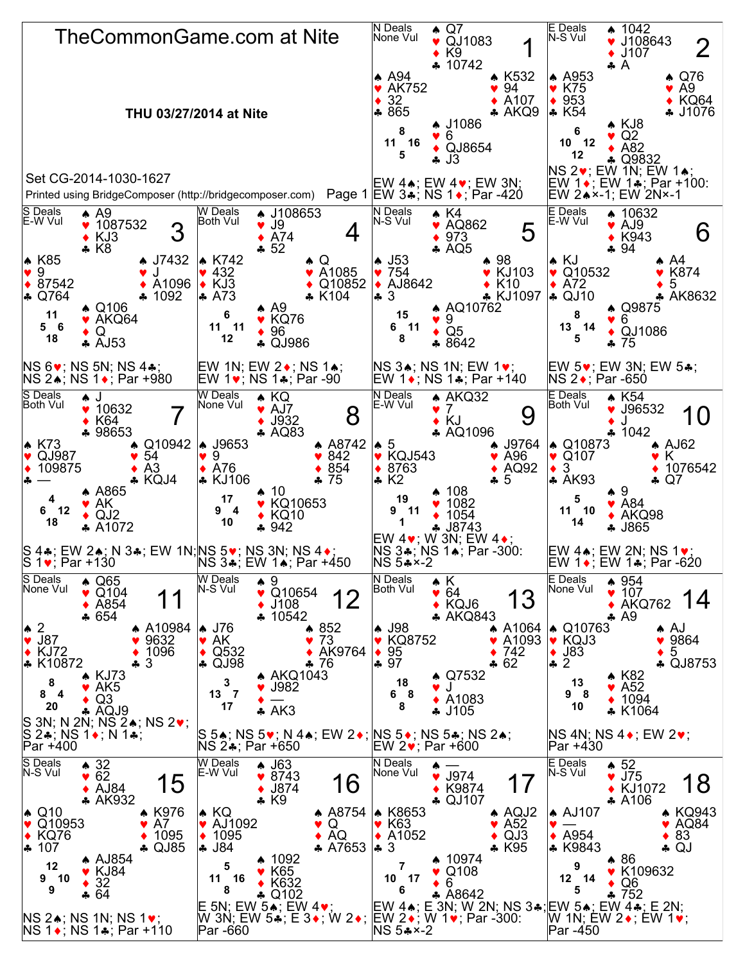